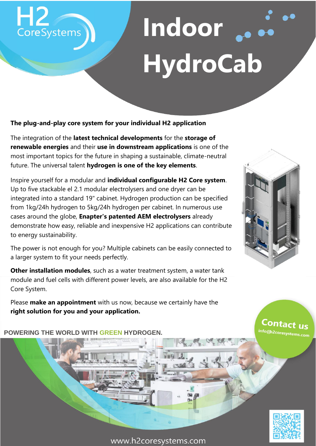## **Indoor HydroCab**

### **The plug-and-play core system for your individual H2 application**

 $H2$  CoreSystems

The integration of the **latest technical developments** for the **storage of renewable energies** and their **use in downstream applications** is one of the most important topics for the future in shaping a sustainable, climate-neutral future. The universal talent **hydrogen is one of the key elements**.

Inspire yourself for a modular and **individual configurable H2 Core system**. Up to five stackable el 2.1 modular electrolysers and one dryer can be integrated into a standard 19" cabinet. Hydrogen production can be specified from 1kg/24h hydrogen to 5kg/24h hydrogen per cabinet. In numerous use cases around the globe, **Enapter's patented AEM electrolysers** already demonstrate how easy, reliable and inexpensive H2 applications can contribute to energy sustainability.

The power is not enough for you? Multiple cabinets can be easily connected to a larger system to fit your needs perfectly.

**Other installation modules**, such as a water treatment system, a water tank module and fuel cells with different power levels, are also available for the H2 Core System.

Please **make an appointment** with us now, because we certainly have the **right solution for you and your application.**

**POWERING THE WORLD WITH GREEN HYDROGEN.**



Contact us info@h2coresystems.

www.h2coresystems.com